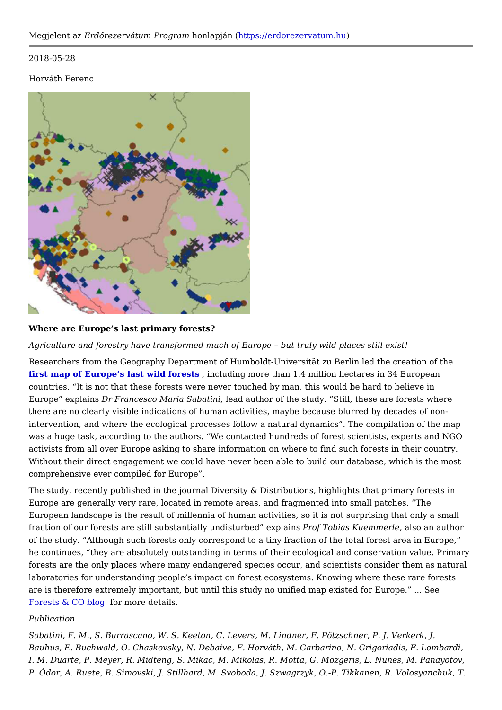2018-05-28

Horváth Ferenc

## Where are Europe s last primary forests?

Agriculture and forestry have transformed much of Europe but truly wild places

Researchers from the Geography Department of Humboldt-Universität zu Berlin led first map of Europe s last wild, fionrod suidsing more than 1.4 million hectares in 34 Eur countries. It is not that these forests were never touched by man, this would be Europe explaDim Francesco Maria Salbe and hauthor of the study. Still, these are fores there are no clearly visible indications of human activities, maybe because blurre intervention, and where the ecological processes follow a natural dynamics. The was a huge task, according to the authors. We contacted hundreds of forest scie activists from all over Europe asking to share information on where to find such f Without their direct engagement we could have never been able to build our datab comprehensive ever compiled for Europe .

The study, recently published in the journal Diversity & Distributions, highlights t Europe are generally very rare, located in remote areas, and fragmented into sma European landscape is the result of millennia of human activities, so it is not sur fraction of our forests are still substantially un**e isoturlo edda se Kpuleammened sloe** an author of the study. Although such forests only correspond to a tiny fraction of the total he continues, they are absolutely outstanding in terms of their ecological and co forests are the only places where many endangered species occur, and scientists laboratories for understanding people s impact on forest ecosystems. Knowing wh are is therefore extremely important, but until this study no unified map existed f [Forests & CO](https://forestsandco.wordpress.com/) blorgmore details.

## Publication

Sabatini, F. M., S. Burrascano, W. S. Keeton, C. Levers, M. Lindner, F. Pötzschne Bauhus, E. Buchwald, O. Chaskovsky, N. Debaive, F. Horváth, M. Garbarino, N. G I. M. Duarte, P. Meyer, R. Midteng, S. Mikac, M. Mikolas, R. Motta, G. Mozgeris, P. Ódor, A. Ruete, B. Simovski, J. Stillhard, M. Svoboda, J. Szwagrzyk, O.-P. Tik